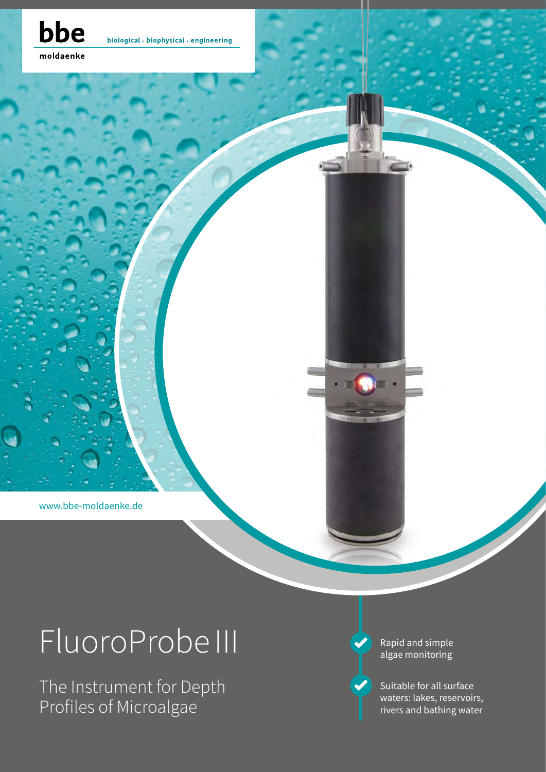

biological - biophysical - engineering

moldaenke

www.bbe-moldaenke.de

# FluoroProbe III

The Instrument for Depth Profiles of Microalgae

Rapid and simple algae monitoring

 $\cdot$  ion  $\bullet$  join  $\cdot$ 

Suitable for all surface waters: lakes, reservoirs, rivers and bathing water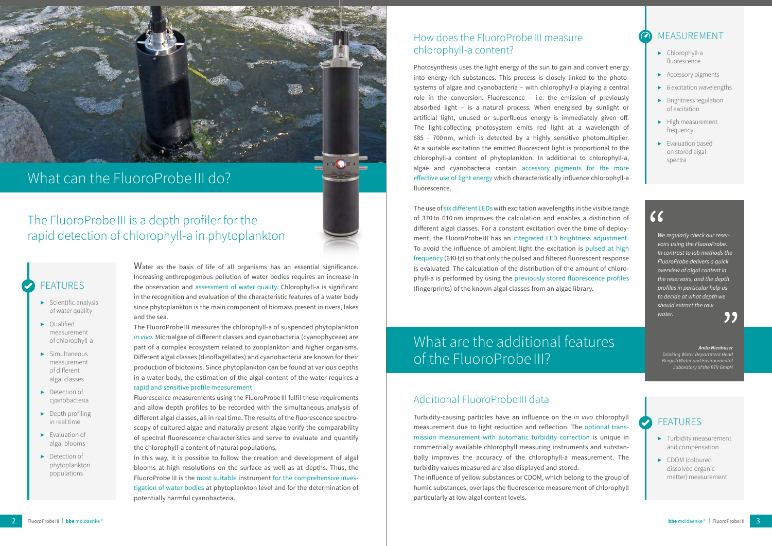

## What can the FluoroProbe III do?

- $\blacktriangleright$  Scientific analysis of water quality
- ▶ Qualified measurement of chlorophyll-a
- ▶ Simultaneous measurement of different algal classes
- ▶ Detection of cyanobacteria
- ▶ Depth profiling in real time
- ▶ Evaluation of algal blooms
- ▶ Detection of phytoplankton populations

Water as the basis of life of all organisms has an essential significance. Increasing anthropogenous pollution of water bodies requires an increase in the observation and assessment of water quality. Chlorophyll-a is significant in the recognition and evaluation of the characteristic features of a water body since phytoplankton is the main component of biomass present in rivers, lakes and the sea.

The FluoroProbe III measures the chlorophyll-a of suspended phytoplankton *in vivo.* Microalgae of different classes and cyanobacteria (cyanophyceae) are part of a complex ecosystem related to zooplankton and higher organisms. Different algal classes (dinoflagellates) and cyanobacteria are known for their production of biotoxins. Since phytoplankton can be found at various depths in a water body, the estimation of the algal content of the water requires a rapid and sensitive profile measurement.

Fluorescence measurements using the FluoroProbeIII fulfil these requirements and allow depth profiles to be recorded with the simultaneous analysis of different algal classes, all in real time. The results of the fluorescence spectroscopy of cultured algae and naturally present algae verify the comparability of spectral fluorescence characteristics and serve to evaluate and quantify the chlorophyll-a content of natural populations.

In this way, it is possible to follow the creation and development of algal blooms at high resolutions on the surface as well as at depths. Thus, the FluoroProbe III is the most suitable instrument for the comprehensive investigation of water bodies at phytoplankton level and for the determination of potentially harmful cyanobacteria.

## The FluoroProbe III is a depth profiler for the rapid detection of chlorophyll-a in phytoplankton

### **FEATURES**

## What are the additional features of the FluoroProbe III?

#### How does the FluoroProbe III measure chlorophyll-a content?

- **Turbidity measurement** and compensation
- ▶ CDOM (coloured dissolved organic matter) measurement

Photosynthesis uses the light energy of the sun to gain and convert energy into energy-rich substances. This process is closely linked to the photosystems of algae and cyanobacteria – with chlorophyll-a playing a central role in the conversion. Fluorescence – i.e. the emission of previously absorbed light – is a natural process. When energised by sunlight or artificial light, unused or superfluous energy is immediately given off. The light-collecting photosystem emits red light at a wavelength of 685 - 700nm, which is detected by a highly sensitive photomultiplier. At a suitable excitation the emitted fluorescent light is proportional to the chlorophyll-a content of phytoplankton. In additional to chlorophyll-a, algae and cyanobacteria contain accessory pigments for the more effective use of light energy which characteristically influence chlorophyll-a fluorescence.

The use of six different LEDs with excitation wavelengths in the visible range of 370 to 610nm improves the calculation and enables a distinction of different algal classes. For a constant excitation over the time of deployment, the FluoroProbe III has an integrated LED brightness adjustment. To avoid the influence of ambient light the excitation is pulsed at high frequency (6KHz) so that only the pulsed and filtered fluorescent response is evaluated. The calculation of the distribution of the amount of chlorophyll-a is performed by using the previously stored fluorescence profiles (fingerprints) of the known algal classes from an algae library.

#### Additional FluoroProbe III data

Turbidity-causing particles have an influence on the *in vivo* chlorophyll measurement due to light reduction and reflection. The optional transmission measurement with automatic turbidity correction is unique in commercially available chlorophyll measuring instruments and substantially improves the accuracy of the chlorophyll-a measurement. The turbidity values measured are also displayed and stored. The influence of yellow substances or CDOM, which belong to the group of humic substances, overlaps the fluorescence measurement of chlorophyll particularly at low algal content levels.

### **MEASUREMENT**

#### *Anita Nienhüser*

*Drinking Water Department Head Bergish Water and Environmental Laboratory of the BTV GmbH*

#### **FEATURES**

*We regularly check our reservoirs using the FluoroProbe. In contrast to lab methods the FluoroProbe delivers a quick overview of algal content in the reservoirs, and the depth*  profiles in particular help us *to decide at what depth we should extract the raw water.*

"

"

#### ▶ Chlorophyll-a fluorescence

- ▶ Accessory pigments
- ▶ 6 excitation wavelengths
- ▶ Brightness regulation of excitation
- ▶ High measurement frequency
- ▶ Evaluation based on stored algal spectra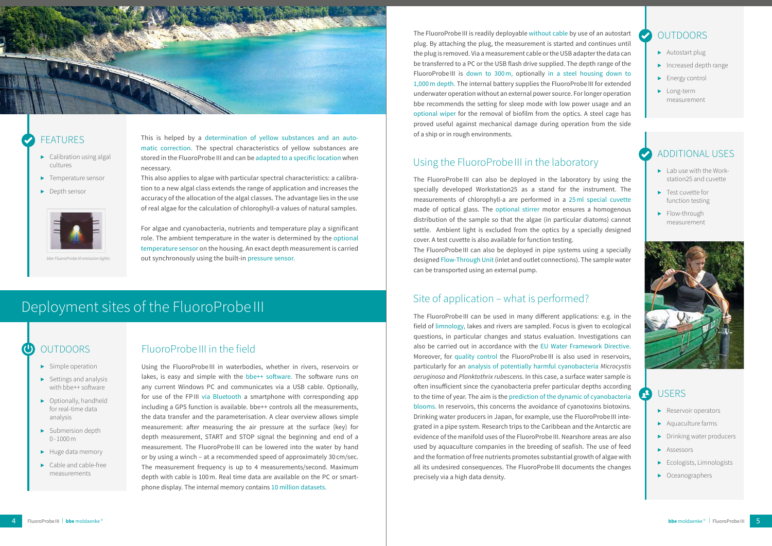

### **FFATURES**

#### **OUTDOORS**

- $\blacktriangleright$  Calibration using algal cultures
- ▶ Temperature sensor
- ▶ Depth sensor



- $\blacktriangleright$  Lab use with the Workstation25 and cuvette
- ▶ Test cuvette for function testing
- ▶ Flow-through measurement



#### **USERS**  $2^2$

#### Additional Uses

- ▶ Autostart plug
- ▶ Increased depth range
- ▶ Energy control
- ▶ Long-term measurement

This is helped by a determination of yellow substances and an automatic correction. The spectral characteristics of yellow substances are stored in the FluoroProbe III and can be adapted to a specific location when necessary.

This also applies to algae with particular spectral characteristics: a calibration to a new algal class extends the range of application and increases the accuracy of the allocation of the algal classes. The advantage lies in the use of real algae for the calculation of chlorophyll-a values of natural samples.

For algae and cyanobacteria, nutrients and temperature play a significant role. The ambient temperature in the water is determined by the optional temperature sensor on the housing. An exact depth measurement is carried out synchronously using the built-in pressure sensor.

## Deployment sites of the FluoroProbe III

#### $\bm{\bm{\omega}}$ **OUTDOORS**

### FluoroProbe III in the field

## Site of application – what is performed?

Using the FluoroProbe III in waterbodies, whether in rivers, reservoirs or lakes, is easy and simple with the bbe++ software. The software runs on any current Windows PC and communicates via a USB cable. Optionally, for use of the FPIII via Bluetooth a smartphone with corresponding app including a GPS function is available. bbe++ controls all the measurements, the data transfer and the parameterisation. A clear overview allows simple measurement: after measuring the air pressure at the surface (key) for depth measurement, START and STOP signal the beginning and end of a measurement. The FluoroProbe III can be lowered into the water by hand or by using a winch – at a recommended speed of approximately 30 cm/sec. The measurement frequency is up to 4 measurements/second. Maximum depth with cable is 100m. Real time data are available on the PC or smartphone display. The internal memory contains 10 million datasets.

### Using the FluoroProbe III in the laboratory

The FluoroProbe III can also be deployed in the laboratory by using the specially developed Workstation25 as a stand for the instrument. The measurements of chlorophyll-a are performed in a 25ml special cuvette made of optical glass. The optional stirrer motor ensures a homogenous distribution of the sample so that the algae (in particular diatoms) cannot settle. Ambient light is excluded from the optics by a specially designed cover. A test cuvette is also available for function testing. The FluoroProbe III can also be deployed in pipe systems using a specially designed Flow-Through Unit (inlet and outlet connections). The sample water can be transported using an external pump.

- $\blacktriangleright$  Simple operation
- $\blacktriangleright$  Settings and analysis with bbe++ software
- ▶ Optionally, handheld for real-time data analysis
- ▶ Submersion depth  $0 - 1000$  m
- ▶ Huge data memory
- $\blacktriangleright$  Cable and cable-free measurements

The FluoroProbe III can be used in many different applications: e.g. in the field of limnology, lakes and rivers are sampled. Focus is given to ecological questions, in particular changes and status evaluation. Investigations can also be carried out in accordance with the EU Water Framework Directive. Moreover, for quality control the FluoroProbeIII is also used in reservoirs, particularly for an analysis of potentially harmful cyanobacteria *Microcystis aeruginosa* and *Planktothrix rubescens*. In this case, a surface water sample is often insufficient since the cyanobacteria prefer particular depths according to the time of year. The aim is the prediction of the dynamic of cyanobacteria blooms. In reservoirs, this concerns the avoidance of cyanotoxins biotoxins. Drinking water producers in Japan, for example, use the FluoroProbeIII integrated in a pipe system. Research trips to the Caribbean and the Antarctic are evidence of the manifold uses of the FluoroProbe III. Nearshore areas are also used by aquaculture companies in the breeding of seafish. The use of feed and the formation of free nutrients promotes substantial growth of algae with all its undesired consequences. The FluoroProbe III documents the changes precisely via a high data density.

- ▶ Reservoir operators
- ▶ Aquaculture farms
- ▶ Drinking water producers
- ▶ Assessors
- ▶ Ecologists, Limnologists
- ▶ Oceanographers

The FluoroProbe III is readily deployable without cable by use of an autostart plug. By attaching the plug, the measurement is started and continues until the plug is removed. Via a measurement cable or the USB adapter the data can be transferred to a PC or the USB flash drive supplied. The depth range of the FluoroProbe III is down to 300m, optionally in a steel housing down to 1,000m depth. The internal battery supplies the FluoroProbeIII for extended underwater operation without an external power source. For longer operation bbe recommends the setting for sleep mode with low power usage and an optional wiper for the removal of biofilm from the optics. A steel cage has proved useful against mechanical damage during operation from the side of a ship or in rough environments.

*bbe FluoroProbe III emission lights*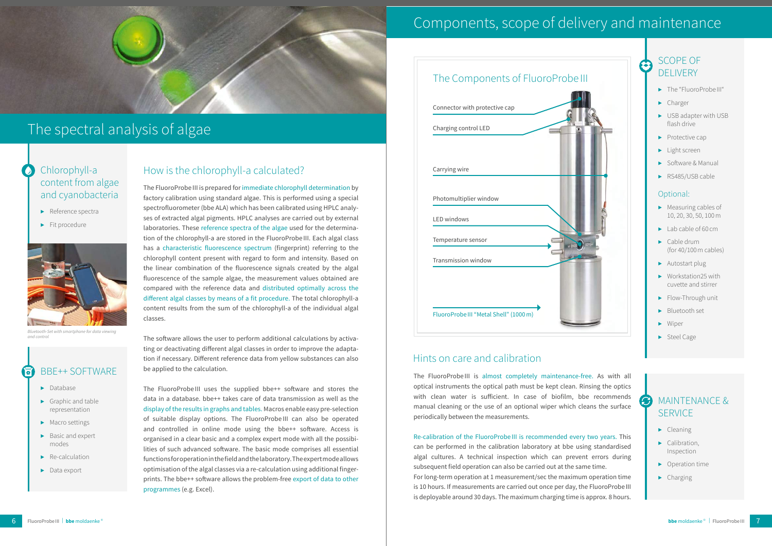The FluoroProbe III is prepared for immediate chlorophyll determination by factory calibration using standard algae. This is performed using a special spectrofluorometer (bbe ALA) which has been calibrated using HPLC analyses of extracted algal pigments. HPLC analyses are carried out by external laboratories. These reference spectra of the algae used for the determination of the chlorophyll-a are stored in the FluoroProbe III. Each algal class has a characteristic fluorescence spectrum (fingerprint) referring to the chlorophyll content present with regard to form and intensity. Based on the linear combination of the fluorescence signals created by the algal fluorescence of the sample algae, the measurement values obtained are compared with the reference data and distributed optimally across the different algal classes by means of a fit procedure. The total chlorophyll-a content results from the sum of the chlorophyll-a of the individual algal classes.

#### MAINTENANCE & **CI SERVICE**

### SCOPE OF **DELIVERY**

- ▶ The "FluoroProbe III"
- ▶ Charger
- ▶ USB adapter with USB flash drive
- ▶ Protective cap
- ▶ Light screen
- ▶ Software & Manual
- ▶ RS485/USB cable

The software allows the user to perform additional calculations by activating or deactivating different algal classes in order to improve the adaptation if necessary. Different reference data from yellow substances can also be applied to the calculation.

#### bbe++ Software नि

The FluoroProbe III is almost completely maintenance-free. As with all optical instruments the optical path must be kept clean. Rinsing the optics with clean water is sufficient. In case of biofilm, bbe recommends manual cleaning or the use of an optional wiper which cleans the surface periodically between the measurements.

The FluoroProbe III uses the supplied bbe++ software and stores the data in a database. bbe++ takes care of data transmission as well as the display of the results in graphs and tables. Macros enable easy pre-selection of suitable display options. The FluoroProbe III can also be operated and controlled in online mode using the bbe++ software. Access is organised in a clear basic and a complex expert mode with all the possibilities of such advanced software. The basic mode comprises all essential functions for operation in the field and the laboratory. The expert mode allows optimisation of the algal classes via a re-calculation using additional fingerprints. The bbe++ software allows the problem-free export of data to other programmes (e.g. Excel).



*Bluetooth-Set with smartphone for data viewing*  and control

#### Chlorophyll-a content from algae and cyanobacteria

- ▶ Reference spectra
- ▶ Fit procedure

 $\bullet$ 

- ▶ Cleaning
- ▶ Calibration, Inspection
- ▶ Operation time
- ▶ Charging



## The spectral analysis of algae

### How is the chlorophyll-a calculated?

#### Optional:

- ▶ Measuring cables of 10, 20, 30, 50, 100m
- ▶ Lab cable of 60 cm
- ▶ Cable drum (for 40/100m cables)
- ▶ Autostart plug
- ▶ Workstation25 with cuvette and stirrer
- ▶ Flow-Through unit
- ▶ Bluetooth set
- ▶ Wiper
- ▶ Steel Cage

## Components, scope of delivery and maintenance

- ▶ Database
- ▶ Graphic and table representation
- ▶ Macro settings
- ▶ Basic and expert modes
- ▶ Re-calculation
- ▶ Data export

Re-calibration of the FluoroProbe III is recommended every two years. This can be performed in the calibration laboratory at bbe using standardised algal cultures. A technical inspection which can prevent errors during subsequent field operation can also be carried out at the same time. For long-term operation at 1 measurement/sec the maximum operation time is 10 hours. If measurements are carried out once per day, the FluoroProbe III is deployable around 30 days. The maximum charging time is approx. 8 hours.

#### Hints on care and calibration